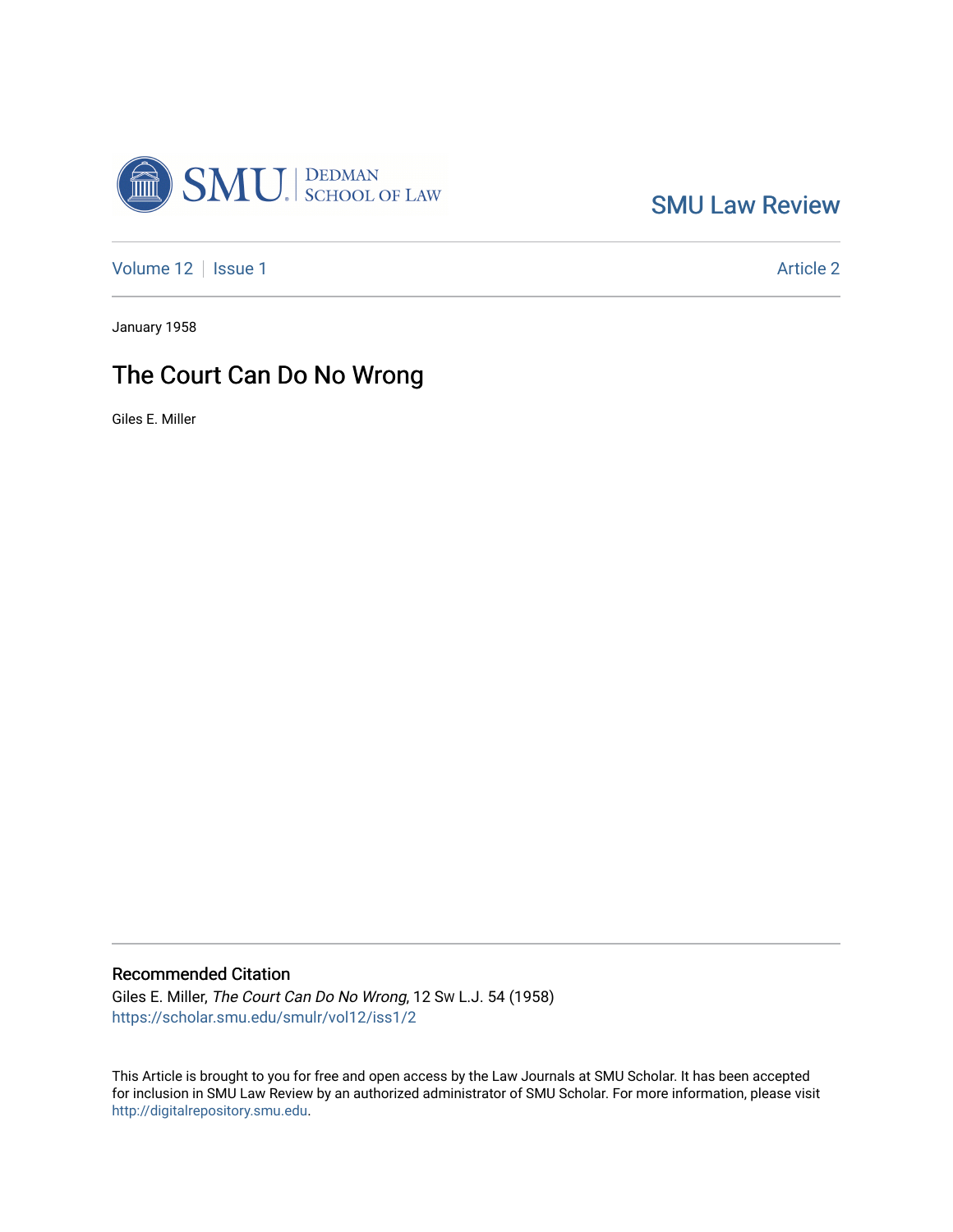

[SMU Law Review](https://scholar.smu.edu/smulr) 

[Volume 12](https://scholar.smu.edu/smulr/vol12) | [Issue 1](https://scholar.smu.edu/smulr/vol12/iss1) Article 2

January 1958

## The Court Can Do No Wrong

Giles E. Miller

### Recommended Citation

Giles E. Miller, The Court Can Do No Wrong, 12 SW L.J. 54 (1958) [https://scholar.smu.edu/smulr/vol12/iss1/2](https://scholar.smu.edu/smulr/vol12/iss1/2?utm_source=scholar.smu.edu%2Fsmulr%2Fvol12%2Fiss1%2F2&utm_medium=PDF&utm_campaign=PDFCoverPages) 

This Article is brought to you for free and open access by the Law Journals at SMU Scholar. It has been accepted for inclusion in SMU Law Review by an authorized administrator of SMU Scholar. For more information, please visit [http://digitalrepository.smu.edu.](http://digitalrepository.smu.edu/)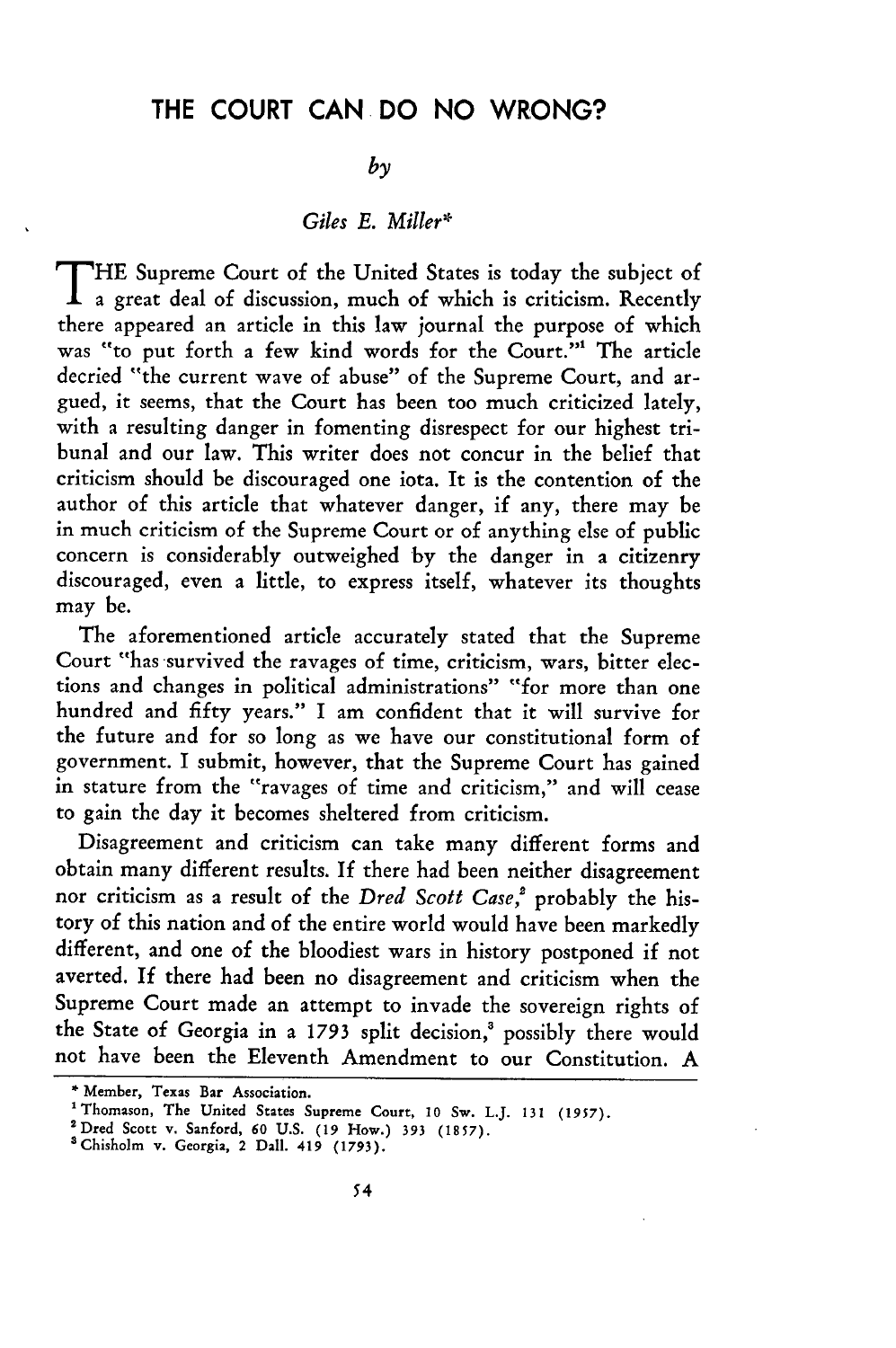## THE **COURT CAN DO NO** WRONG?

## *by*

#### *Giles E. Miller\**

T **HE** Supreme Court of the United States is today the subject of a great deal of discussion, much of which is criticism. Recently there appeared an article in this law journal the purpose of which was "to put forth a few kind words for the Court."1 The article decried "the current wave of abuse" of the Supreme Court, and argued, it seems, that the Court has been too much criticized lately, with a resulting danger in fomenting disrespect for our highest tribunal and our law. This writer does not concur in the belief that criticism should be discouraged one iota. It is the contention of the author of this article that whatever danger, if any, there may be in much criticism of the Supreme Court or of anything else of public concern is considerably outweighed by the danger in a citizenry discouraged, even a little, to express itself, whatever its thoughts may be.

The aforementioned article accurately stated that the Supreme Court "has survived the ravages of time, criticism, wars, bitter elections and changes in political administrations" "for more than one hundred and fifty years." I am confident that it will survive for the future and for so long as we have our constitutional form of government. I submit, however, that the Supreme Court has gained in stature from the "ravages of time and criticism," and will cease to gain the day it becomes sheltered from criticism.

Disagreement and criticism can take many different forms and obtain many different results. If there had been neither disagreement nor criticism as a result of the *Dred Scott Case,'* probably the history of this nation and of the entire world would have been markedly different, and one of the bloodiest wars in history postponed if not averted. **If** there had been no disagreement and criticism when the Supreme Court made an attempt to invade the sovereign rights of the State of Georgia in a 1793 split decision,' possibly there would not have been the Eleventh Amendment to our Constitution. A

<sup>\*</sup>Member, **Texas Bar** Association.

<sup>&</sup>lt;sup>1</sup> Thomason, The United States Supreme Court, 10 Sw. L.J. 131 (1957).

**<sup>&#</sup>x27;Dred** Scott **v. Sanford, 60 U.S. (19** How.) **393** (1857).

<sup>&#</sup>x27;Chisholm **v. Georgia,** 2 **Dall.** 419 (1793).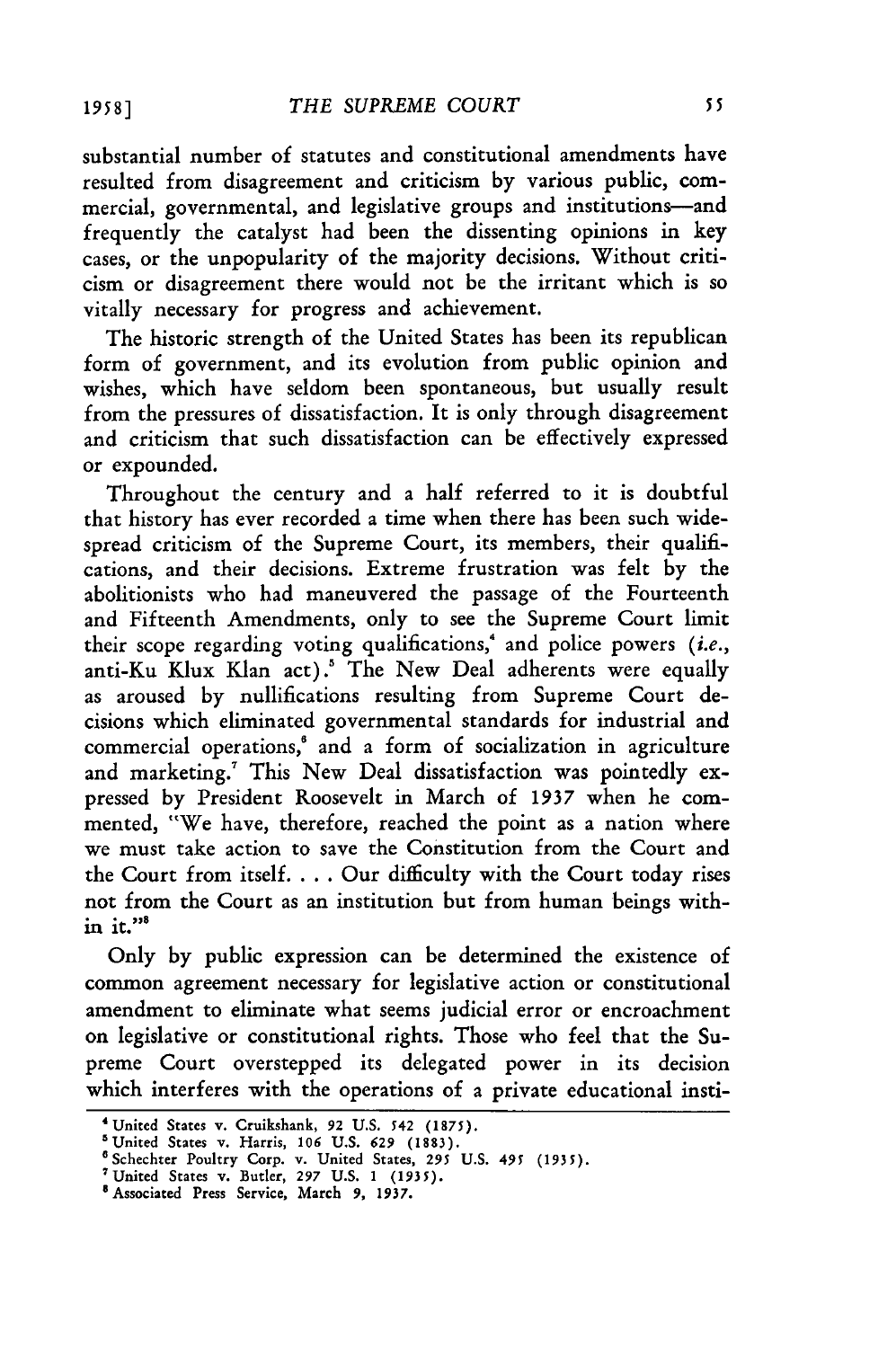substantial number of statutes and constitutional amendments have resulted from disagreement and criticism by various public, commercial, governmental, and legislative groups and institutions-and frequently the catalyst had been the dissenting opinions in key cases, or the unpopularity of the majority decisions. Without criticism or disagreement there would not be the irritant which is so vitally necessary for progress and achievement.

The historic strength of the United States has been its republican form of government, and its evolution from public opinion and wishes, which have seldom been spontaneous, but usually result from the pressures of dissatisfaction. It is only through disagreement and criticism that such dissatisfaction can be effectively expressed or expounded.

Throughout the century and a half referred to it is doubtful that history has ever recorded a time when there has been such widespread criticism of the Supreme Court, its members, their qualifications, and their decisions. Extreme frustration was felt by the abolitionists who had maneuvered the passage of the Fourteenth and Fifteenth Amendments, only to see the Supreme Court limit their scope regarding voting qualifications,' and police powers *(i.e.,* anti-Ku Klux Klan act).' The New Deal adherents were equally as aroused by nullifications resulting from Supreme Court decisions which eliminated governmental standards for industrial and commercial operations,' and a form of socialization in agriculture and marketing.<sup>7</sup> This New Deal dissatisfaction was pointedly expressed by President Roosevelt in March of 1937 when he commented, "We have, therefore, reached the point as a nation where we must take action to save the Constitution from the Court and the Court from itself. . . . Our difficulty with the Court today rises not from the Court as an institution but from human beings within it. $"$ 

Only by public expression can be determined the existence of common agreement necessary for legislative action or constitutional amendment to eliminate what seems judicial error or encroachment on legislative or constitutional rights. Those who feel that the Supreme Court overstepped its delegated power in its decision which interferes with the operations of a private educational insti-

**19 58 ]**

<sup>&#</sup>x27;United States **v.** Cruikshank, **92 U.S. 542 (1875).**

<sup>&#</sup>x27;United States v. Harris, **106 U.S. 629** (1883).

<sup>&#</sup>x27;Schechter Poultry Corp. v. United States, **295 U.S. 495** *(1935).*

<sup>&</sup>lt;sup>7</sup> United States v. Butler, 297 U.S. 1 (1935)<sup>8</sup> Associated Press Service, March 9, 1937.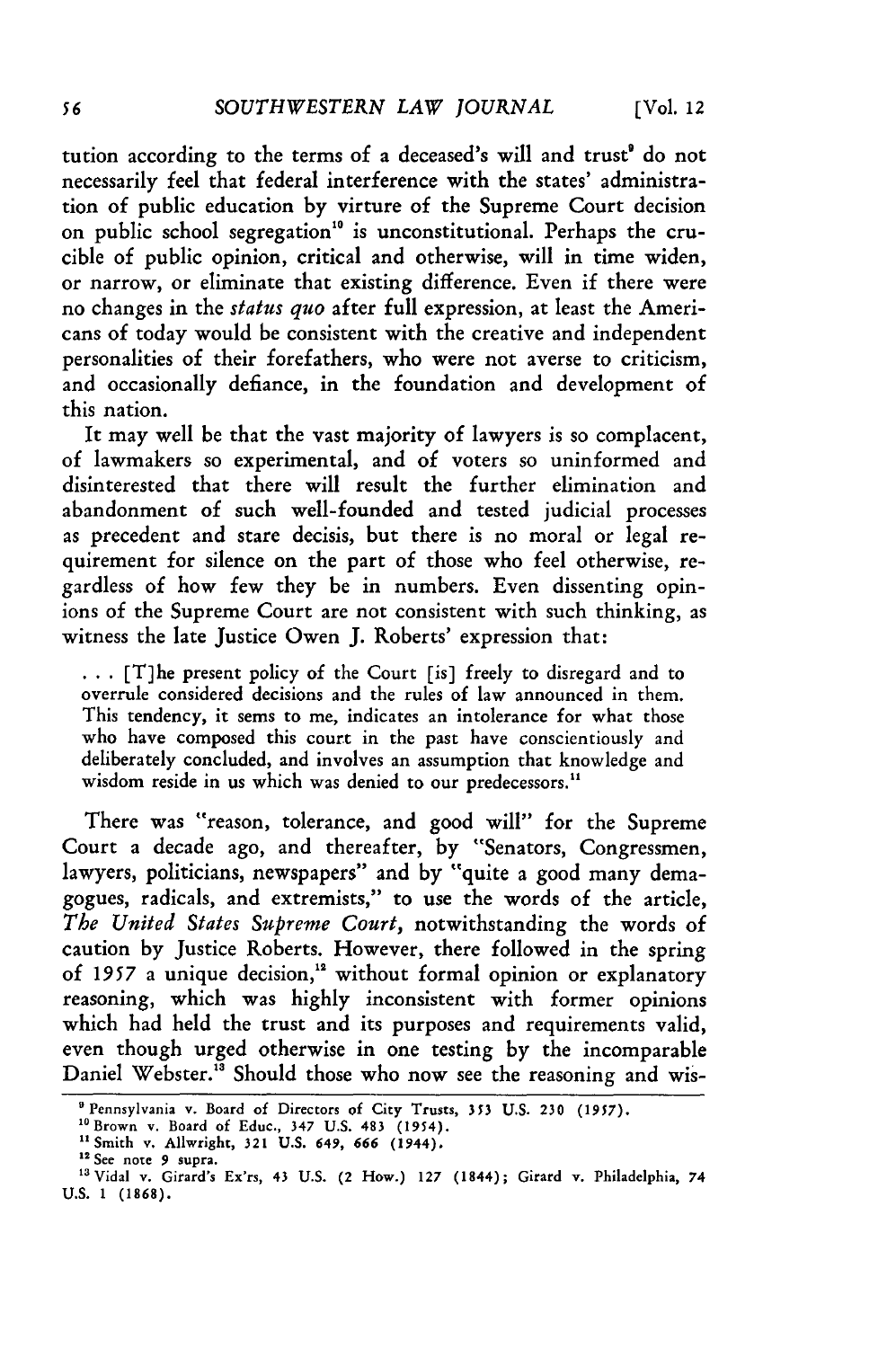tution according to the terms of a deceased's will and trust' do not necessarily feel that federal interference with the states' administration of public education by virture of the Supreme Court decision on public school segregation<sup>10</sup> is unconstitutional. Perhaps the crucible of public opinion, critical and otherwise, will in time widen, or narrow, or eliminate that existing difference. Even if there were no changes in the *status quo* after full expression, at least the Americans of today would be consistent with the creative and independent personalities of their forefathers, who were not averse to criticism, and occasionally defiance, in the foundation and development of this nation.

It may well be that the vast majority of lawyers is so complacent, of lawmakers so experimental, and of voters so uninformed and disinterested that there will result the further elimination and abandonment of such well-founded and tested judicial processes as precedent and stare decisis, but there is no moral or legal requirement for silence on the part of those who feel otherwise, regardless of how few they be in numbers. Even dissenting opinions of the Supreme Court are not consistent with such thinking, as witness the late Justice Owen **J.** Roberts' expression that:

**...** [T]he present policy of the Court [is] freely to disregard and to overrule considered decisions and the rules of law announced in them. This tendency, it sems to me, indicates an intolerance for what those who have composed this court in the past have conscientiously and deliberately concluded, and involves an assumption that knowledge and wisdom reside in us which was denied to our predecessors.<sup>11</sup>

There was "reason, tolerance, and good will" for the Supreme Court a decade ago, and thereafter, **by** "Senators, Congressmen, lawyers, politicians, newspapers" and by "quite a good many demagogues, radicals, and extremists," to use the words of the article, *The United States Supreme Court,* notwithstanding the words of caution by Justice Roberts. However, there followed in the spring of *1957* a unique decision," without formal opinion or explanatory reasoning, which was highly inconsistent with former opinions which had held the trust and its purposes and requirements valid, even though urged otherwise in one testing by the incomparable Daniel Webster.<sup>13</sup> Should those who now see the reasoning and wis-

<sup>&</sup>lt;sup>9</sup> Pennsylvania v. Board of Directors of City Trusts, 353 U.S. 230 (1957).

<sup>&</sup>lt;sup>10</sup> Brown v. Board of Educ., 347 U.S. 483 (1954).<br><sup>11</sup> Smith v. Allwright, 321 U.S. 649, 666 (1944).<br><sup>12</sup> See note 9 supra.

<sup>&</sup>lt;sup>13</sup> Vidal v. Girard's Ex'rs, 43 U.S. (2 How.) 127 (1844); Girard v. Philadelphia, 74 **U.S. 1 (1868).**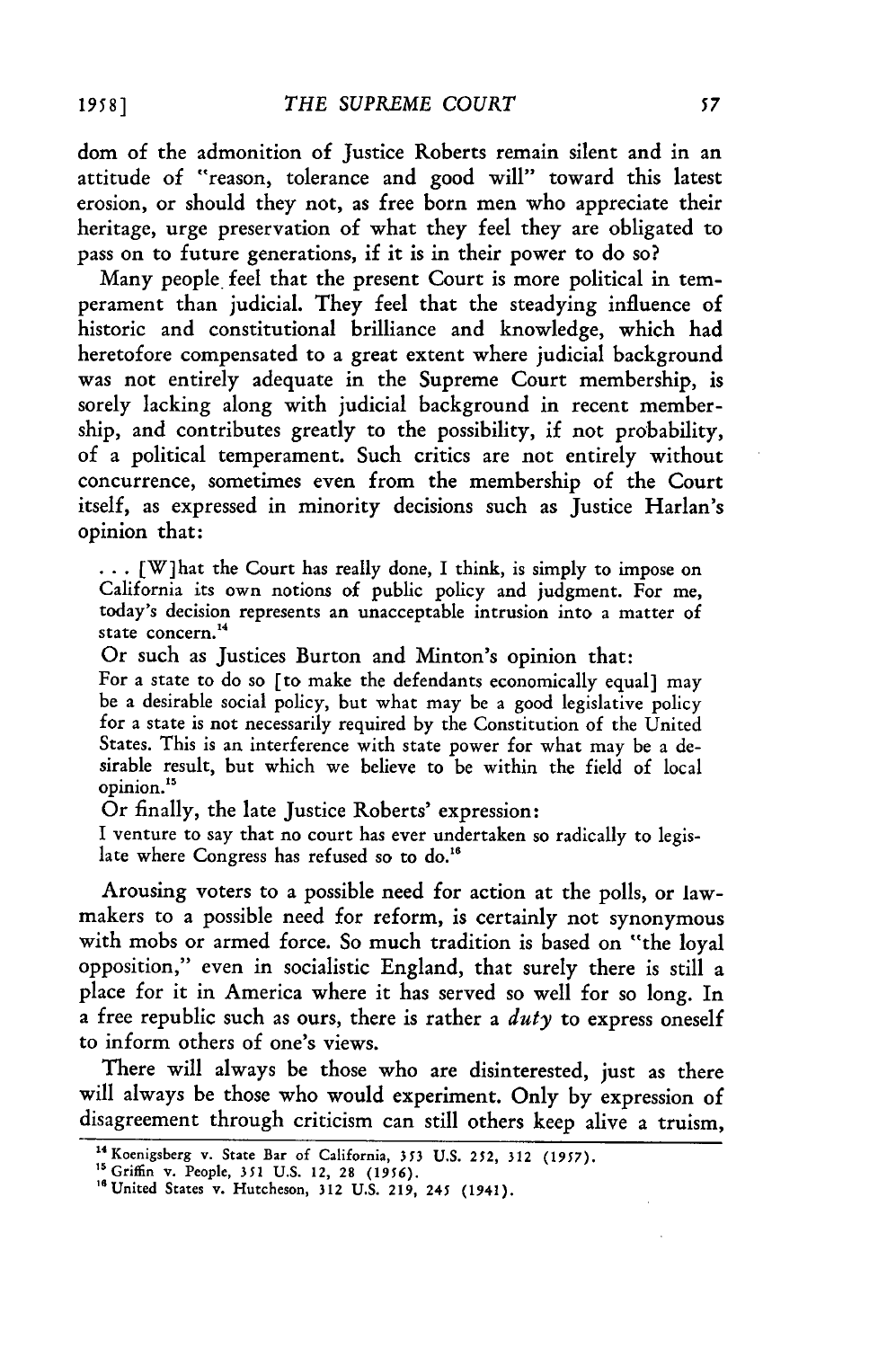**dom** of the admonition of Justice Roberts remain silent and in an attitude of "reason, tolerance and good will" toward this latest erosion, or should they not, as free born men who appreciate their heritage, urge preservation of what they feel they are obligated to pass on to future generations, if it is in their power to do so?

Many people. feel that the present Court is more political in temperament than judicial. They feel that the steadying influence of historic and constitutional brilliance and knowledge, which had heretofore compensated to a great extent where judicial background was not entirely adequate in the Supreme Court membership, is sorely lacking along with judicial background in recent membership, and contributes greatly to the possibility, if not probability, of a political temperament. Such critics are not entirely without concurrence, sometimes even from the membership of the Court itself, as expressed in minority decisions such as Justice Harlan's opinion that:

 $\ldots$  [W] hat the Court has really done, I think, is simply to impose on California its own notions of public policy and judgment. For me, today's decision represents an unacceptable intrusion into a matter of state concern.<sup>14</sup>

Or such as Justices Burton and Minton's opinion that:

For a state to do so [to make the defendants economically equal] may be a desirable social policy, but what may be a good legislative policy for a state is not necessarily required by the Constitution of the United States. This is an interference with state power for what may be a desirable result, but which we believe to be within the field of local opinion."

Or finally, the late Justice Roberts' expression:

I venture to say that no court has ever undertaken so radically to legislate where Congress has refused so to do.<sup>16</sup>

Arousing voters to a possible need for action at the polls, or lawmakers to a possible need for reform, is certainly not synonymous with mobs or armed force. So much tradition is based on "the loyal opposition," even in socialistic England, that surely there is still a place for it in America where it has served so well for so long. In a free republic such as ours, there is rather a *duty* to express oneself to inform others of one's views.

There will always be those who are disinterested, just as there will always be those who would experiment. Only **by** expression of disagreement through criticism can still others keep alive a truism,

<sup>14</sup> Koenigsberg v. State Bar of California, *353* **U.S. 252, 312 (1957).**

<sup>&</sup>lt;sup>15</sup> Griffin v. People, 351 U.S. 12, 28 (1956).<br><sup>16</sup> United States v. Hutcheson, 312 U.S. 219, 245 (1941).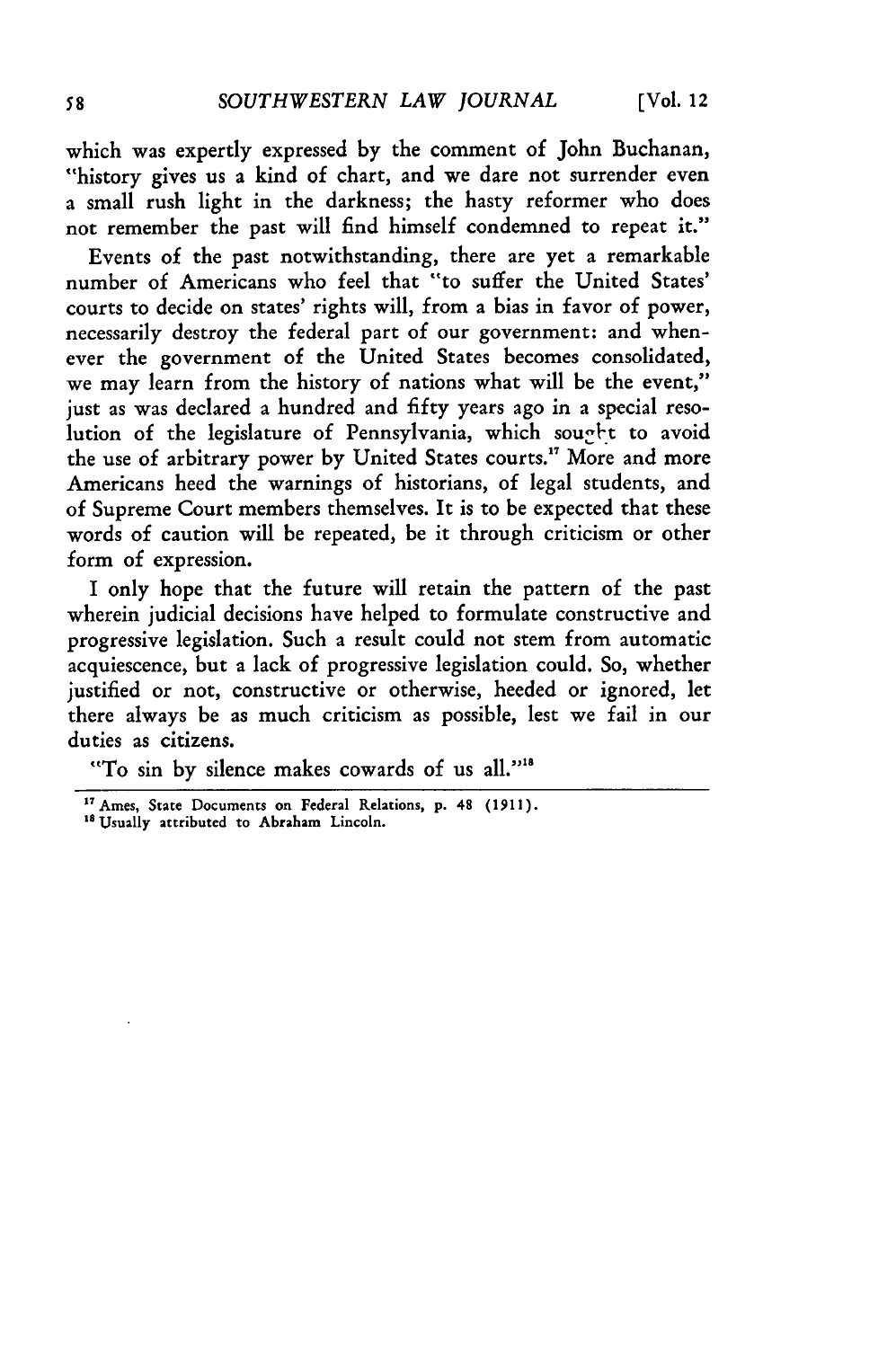which was expertly expressed by the comment of John Buchanan, "history gives us a kind of chart, and we dare not surrender even a small rush light in the darkness; the hasty reformer who does not remember the past will find himself condemned to repeat it."

Events of the past notwithstanding, there are yet a remarkable number of Americans who feel that "to suffer the United States' courts to decide on states' rights will, from a bias in favor of power, necessarily destroy the federal part of our government: and whenever the government of the United States becomes consolidated, we may learn from the history of nations what will be the event," just as was declared a hundred and fifty years ago in a special resolution of the legislature of Pennsylvania, which sought to avoid the use of arbitrary power by United States courts.<sup>17</sup> More and more Americans heed the warnings of historians, of legal students, and of Supreme Court members themselves. It is to be expected that these words of caution will be repeated, be it through criticism or other form of expression.

I only hope that the future will retain the pattern of the past wherein judicial decisions have helped to formulate constructive and progressive legislation. Such a result could not stem from automatic acquiescence, but a lack of progressive legislation could. So, whether justified or not, constructive or otherwise, heeded or ignored, let there always be as much criticism as possible, lest we fail in our duties as citizens.

"To sin by silence makes cowards of us all."<sup>18</sup>

<sup>17</sup>Ames, State Documents on Federal Relations, **p.** 48 (1911).

<sup>&</sup>lt;sup>18</sup> Usually attributed to Abraham Lincoln.